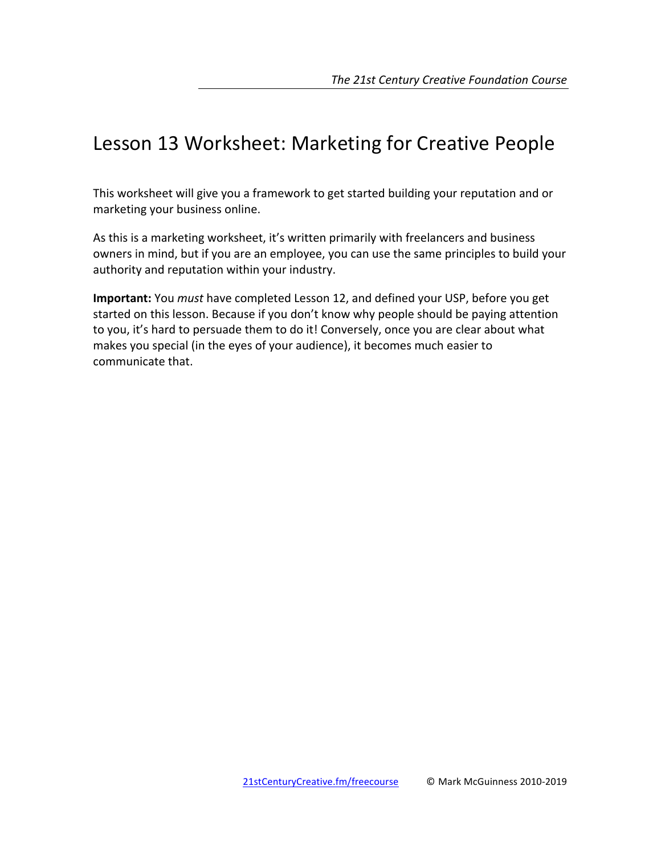# Lesson 13 Worksheet: Marketing for Creative People

This worksheet will give you a framework to get started building your reputation and or marketing your business online.

As this is a marketing worksheet, it's written primarily with freelancers and business owners in mind, but if you are an employee, you can use the same principles to build your authority and reputation within your industry.

**Important:** You *must* have completed Lesson 12, and defined your USP, before you get started on this lesson. Because if you don't know why people should be paying attention to you, it's hard to persuade them to do it! Conversely, once you are clear about what makes you special (in the eyes of your audience), it becomes much easier to communicate that.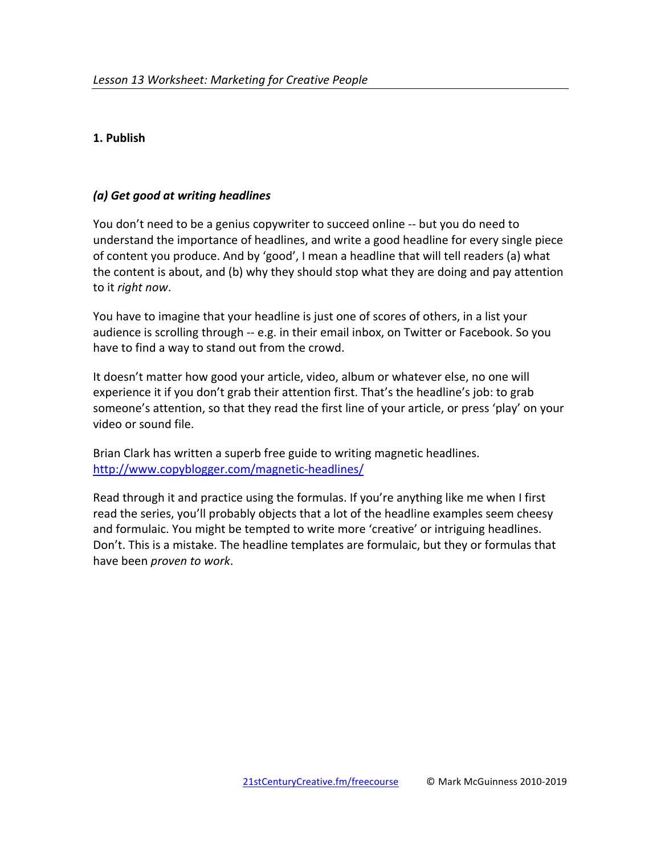# **1. Publish**

## *(a) Get good at writing headlines*

You don't need to be a genius copywriter to succeed online -- but you do need to understand the importance of headlines, and write a good headline for every single piece of content you produce. And by 'good', I mean a headline that will tell readers (a) what the content is about, and (b) why they should stop what they are doing and pay attention to it *right now*.

You have to imagine that your headline is just one of scores of others, in a list your audience is scrolling through -- e.g. in their email inbox, on Twitter or Facebook. So you have to find a way to stand out from the crowd.

It doesn't matter how good your article, video, album or whatever else, no one will experience it if you don't grab their attention first. That's the headline's job: to grab someone's attention, so that they read the first line of your article, or press 'play' on your video or sound file.

Brian Clark has written a superb free guide to writing magnetic headlines. http://www.copyblogger.com/magnetic-headlines/

Read through it and practice using the formulas. If you're anything like me when I first read the series, you'll probably objects that a lot of the headline examples seem cheesy and formulaic. You might be tempted to write more 'creative' or intriguing headlines. Don't. This is a mistake. The headline templates are formulaic, but they or formulas that have been *proven* to work.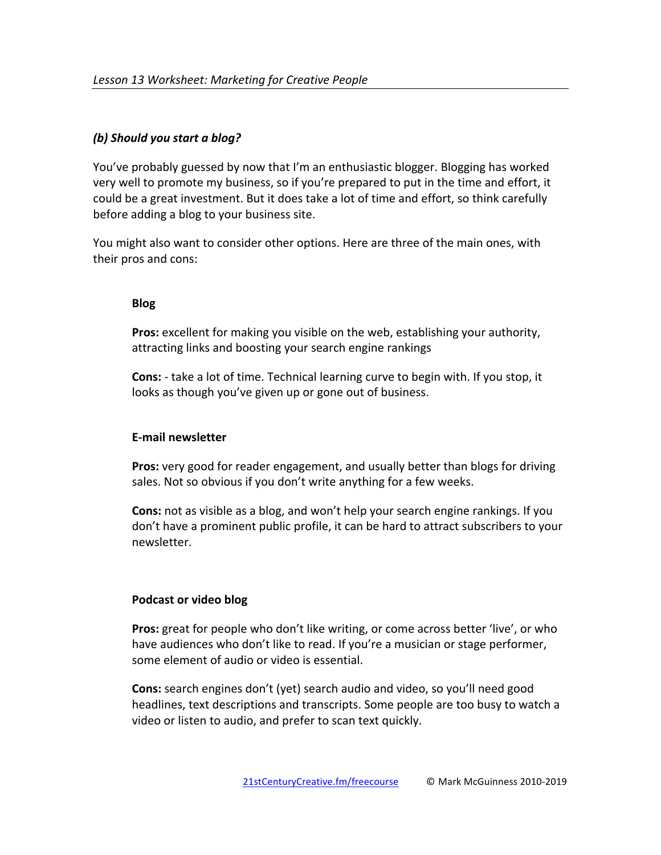## *(b) Should you start a blog?*

You've probably guessed by now that I'm an enthusiastic blogger. Blogging has worked very well to promote my business, so if you're prepared to put in the time and effort, it could be a great investment. But it does take a lot of time and effort, so think carefully before adding a blog to your business site.

You might also want to consider other options. Here are three of the main ones, with their pros and cons:

#### **Blog**

**Pros:** excellent for making you visible on the web, establishing your authority, attracting links and boosting your search engine rankings

**Cons:** - take a lot of time. Technical learning curve to begin with. If you stop, it looks as though you've given up or gone out of business.

#### **E-mail newsletter**

**Pros:** very good for reader engagement, and usually better than blogs for driving sales. Not so obvious if you don't write anything for a few weeks.

**Cons:** not as visible as a blog, and won't help your search engine rankings. If you don't have a prominent public profile, it can be hard to attract subscribers to your newsletter.

# **Podcast or video blog**

**Pros:** great for people who don't like writing, or come across better 'live', or who have audiences who don't like to read. If you're a musician or stage performer, some element of audio or video is essential.

**Cons:** search engines don't (yet) search audio and video, so you'll need good headlines, text descriptions and transcripts. Some people are too busy to watch a video or listen to audio, and prefer to scan text quickly.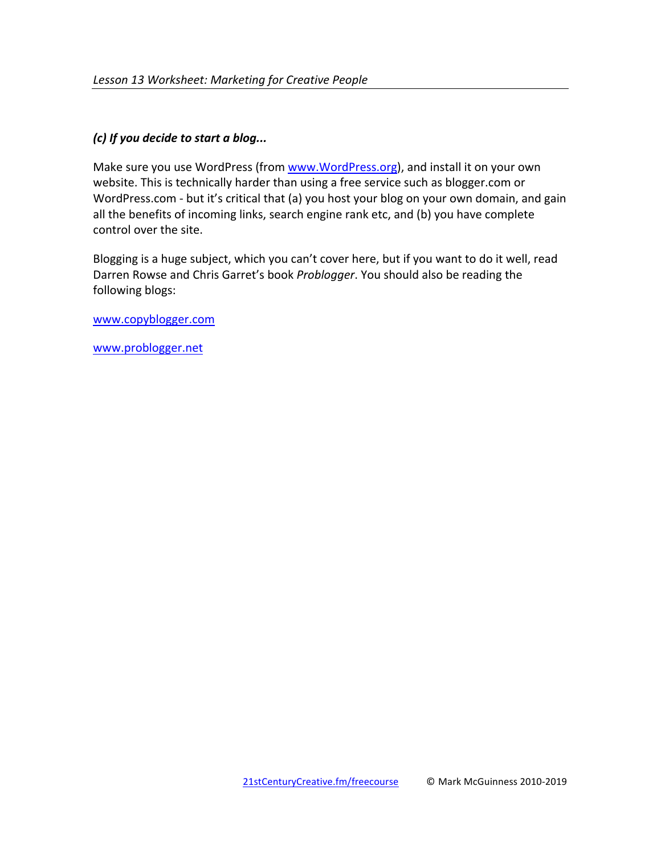## *(c)* If you decide to start a blog...

Make sure you use WordPress (from www.WordPress.org), and install it on your own website. This is technically harder than using a free service such as blogger.com or WordPress.com - but it's critical that (a) you host your blog on your own domain, and gain all the benefits of incoming links, search engine rank etc, and (b) you have complete control over the site.

Blogging is a huge subject, which you can't cover here, but if you want to do it well, read Darren Rowse and Chris Garret's book *Problogger*. You should also be reading the following blogs:

www.copyblogger.com

www.problogger.net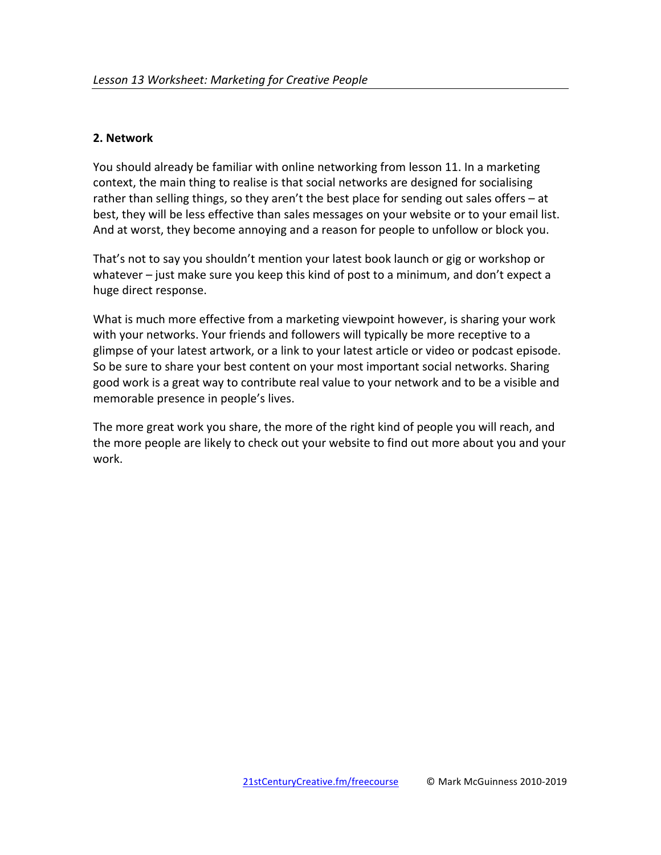## **2. Network**

You should already be familiar with online networking from lesson 11. In a marketing context, the main thing to realise is that social networks are designed for socialising rather than selling things, so they aren't the best place for sending out sales offers  $-$  at best, they will be less effective than sales messages on your website or to your email list. And at worst, they become annoying and a reason for people to unfollow or block you.

That's not to say you shouldn't mention your latest book launch or gig or workshop or whatever  $-$  just make sure you keep this kind of post to a minimum, and don't expect a huge direct response.

What is much more effective from a marketing viewpoint however, is sharing your work with your networks. Your friends and followers will typically be more receptive to a glimpse of your latest artwork, or a link to your latest article or video or podcast episode. So be sure to share your best content on your most important social networks. Sharing good work is a great way to contribute real value to your network and to be a visible and memorable presence in people's lives.

The more great work you share, the more of the right kind of people you will reach, and the more people are likely to check out your website to find out more about you and your work.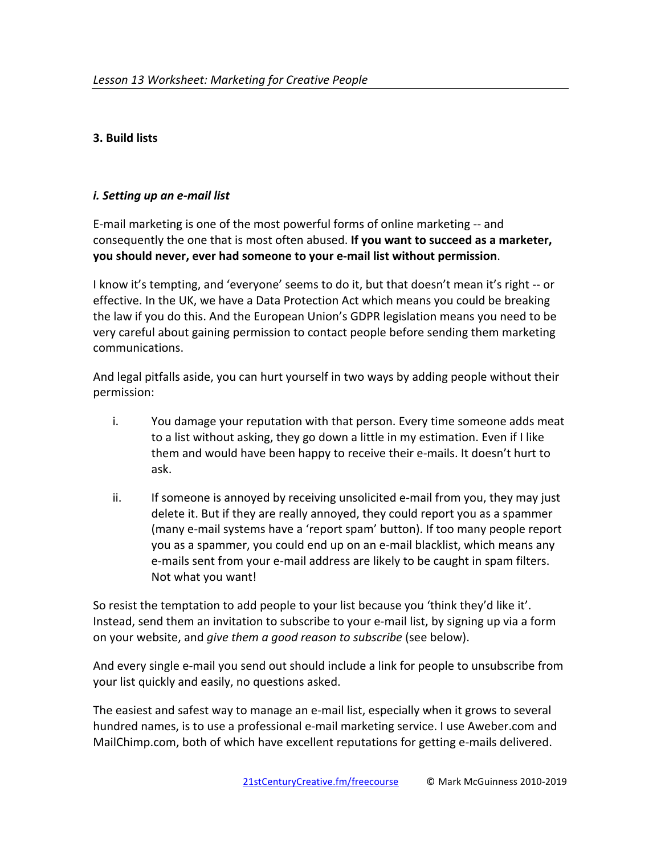## **3. Build lists**

#### *i. Setting up an e-mail list*

E-mail marketing is one of the most powerful forms of online marketing -- and consequently the one that is most often abused. If you want to succeed as a marketer, **you should never, ever had someone to your e-mail list without permission.** 

I know it's tempting, and 'everyone' seems to do it, but that doesn't mean it's right -- or effective. In the UK, we have a Data Protection Act which means you could be breaking the law if you do this. And the European Union's GDPR legislation means you need to be very careful about gaining permission to contact people before sending them marketing communications.

And legal pitfalls aside, you can hurt yourself in two ways by adding people without their permission:

- i. You damage your reputation with that person. Every time someone adds meat to a list without asking, they go down a little in my estimation. Even if I like them and would have been happy to receive their e-mails. It doesn't hurt to ask.
- ii. If someone is annoyed by receiving unsolicited e-mail from you, they may just delete it. But if they are really annoyed, they could report you as a spammer (many e-mail systems have a 'report spam' button). If too many people report you as a spammer, you could end up on an e-mail blacklist, which means any e-mails sent from your e-mail address are likely to be caught in spam filters. Not what you want!

So resist the temptation to add people to your list because you 'think they'd like it'. Instead, send them an invitation to subscribe to your e-mail list, by signing up via a form on your website, and *give them a good reason to subscribe* (see below).

And every single e-mail you send out should include a link for people to unsubscribe from your list quickly and easily, no questions asked.

The easiest and safest way to manage an e-mail list, especially when it grows to several hundred names, is to use a professional e-mail marketing service. I use Aweber.com and MailChimp.com, both of which have excellent reputations for getting e-mails delivered.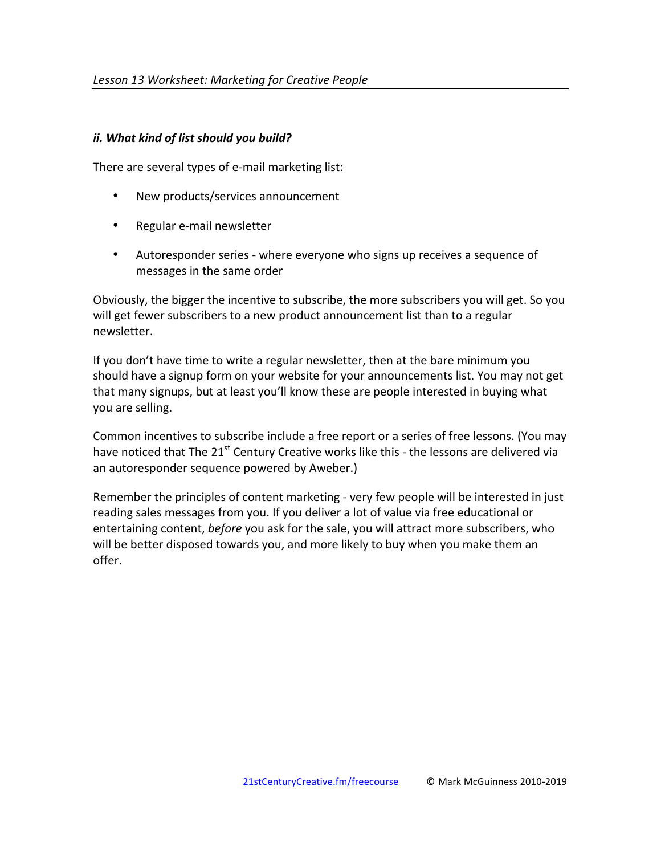#### *ii.* What kind of list should you build?

There are several types of e-mail marketing list:

- New products/services announcement
- Regular e-mail newsletter
- Autoresponder series where everyone who signs up receives a sequence of messages in the same order

Obviously, the bigger the incentive to subscribe, the more subscribers you will get. So you will get fewer subscribers to a new product announcement list than to a regular newsletter. 

If you don't have time to write a regular newsletter, then at the bare minimum you should have a signup form on your website for your announcements list. You may not get that many signups, but at least you'll know these are people interested in buying what you are selling.

Common incentives to subscribe include a free report or a series of free lessons. (You may have noticed that The  $21^{st}$  Century Creative works like this - the lessons are delivered via an autoresponder sequence powered by Aweber.)

Remember the principles of content marketing - very few people will be interested in just reading sales messages from you. If you deliver a lot of value via free educational or entertaining content, *before* you ask for the sale, you will attract more subscribers, who will be better disposed towards you, and more likely to buy when you make them an offer.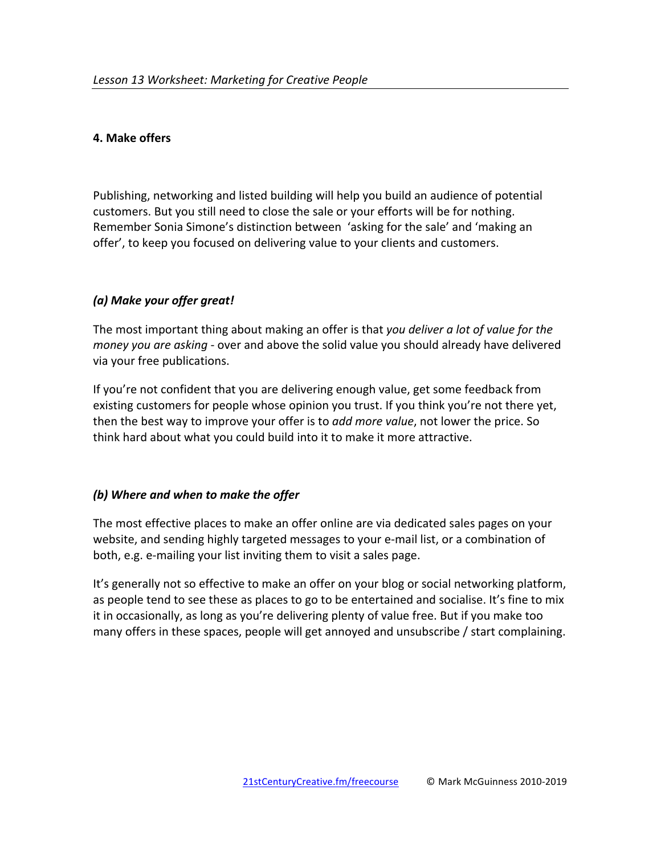## **4. Make offers**

Publishing, networking and listed building will help you build an audience of potential customers. But you still need to close the sale or your efforts will be for nothing. Remember Sonia Simone's distinction between 'asking for the sale' and 'making an offer', to keep you focused on delivering value to your clients and customers.

# *(a) Make your offer great!*

The most important thing about making an offer is that *you deliver a lot of value for the money you are asking* - over and above the solid value you should already have delivered via your free publications.

If you're not confident that you are delivering enough value, get some feedback from existing customers for people whose opinion you trust. If you think you're not there yet, then the best way to improve your offer is to *add more value*, not lower the price. So think hard about what you could build into it to make it more attractive.

#### *(b) Where and when to make the offer*

The most effective places to make an offer online are via dedicated sales pages on your website, and sending highly targeted messages to your e-mail list, or a combination of both, e.g. e-mailing your list inviting them to visit a sales page.

It's generally not so effective to make an offer on your blog or social networking platform, as people tend to see these as places to go to be entertained and socialise. It's fine to mix it in occasionally, as long as you're delivering plenty of value free. But if you make too many offers in these spaces, people will get annoyed and unsubscribe  $\ell$  start complaining.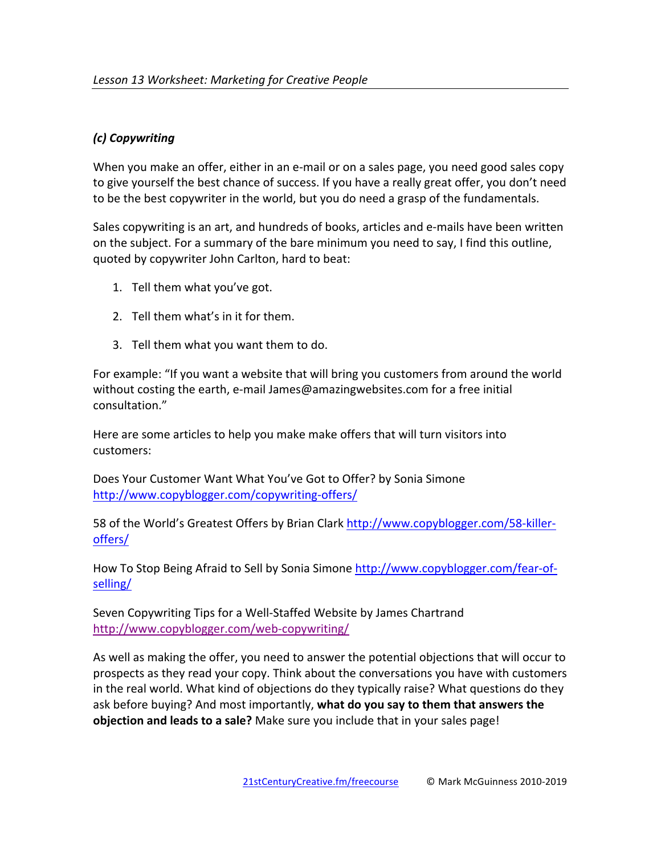# *(c) Copywriting*

When you make an offer, either in an e-mail or on a sales page, you need good sales copy to give yourself the best chance of success. If you have a really great offer, you don't need to be the best copywriter in the world, but you do need a grasp of the fundamentals.

Sales copywriting is an art, and hundreds of books, articles and e-mails have been written on the subject. For a summary of the bare minimum you need to say, I find this outline, quoted by copywriter John Carlton, hard to beat:

- 1. Tell them what you've got.
- 2. Tell them what's in it for them.
- 3. Tell them what you want them to do.

For example: "If you want a website that will bring you customers from around the world without costing the earth, e-mail James@amazingwebsites.com for a free initial consultation."

Here are some articles to help you make make offers that will turn visitors into customers:

Does Your Customer Want What You've Got to Offer? by Sonia Simone http://www.copyblogger.com/copywriting-offers/

58 of the World's Greatest Offers by Brian Clark http://www.copyblogger.com/58-killeroffers/

How To Stop Being Afraid to Sell by Sonia Simone http://www.copyblogger.com/fear-ofselling/

Seven Copywriting Tips for a Well-Staffed Website by James Chartrand http://www.copyblogger.com/web-copywriting/

As well as making the offer, you need to answer the potential objections that will occur to prospects as they read your copy. Think about the conversations you have with customers in the real world. What kind of objections do they typically raise? What questions do they ask before buying? And most importantly, what do you say to them that answers the **objection and leads to a sale?** Make sure you include that in your sales page!